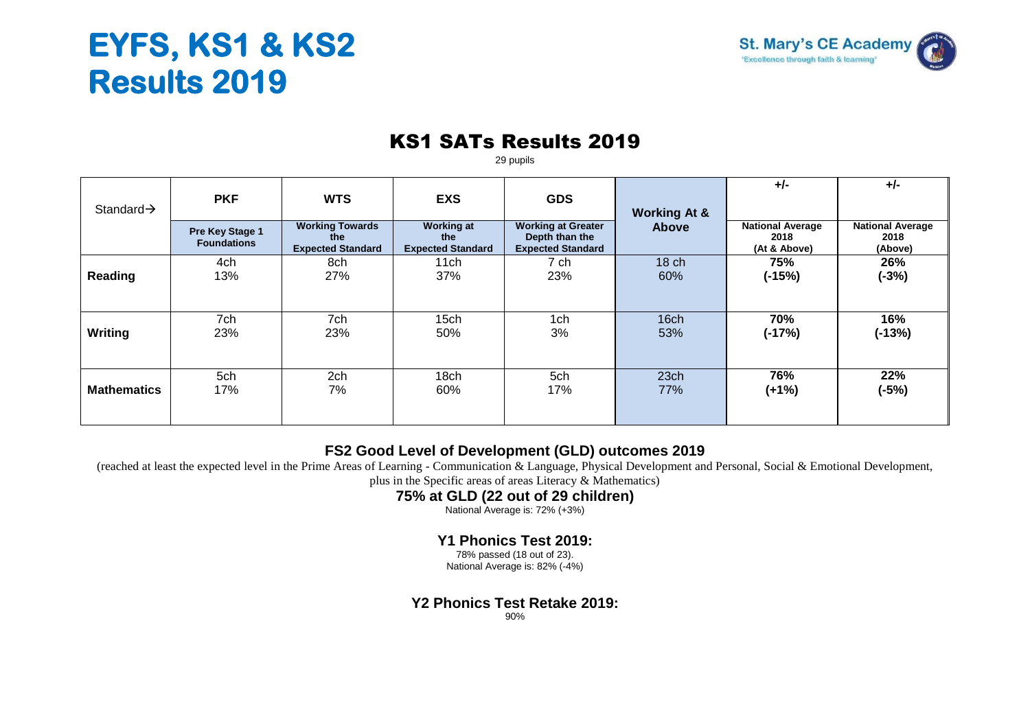# **EYFS, KS1 & KS2 Results 2019**



### KS1 SATs Results 2019

29 pupils

|                        |                                       |                                                           |                                                      |                                                                         |                                         | $+/-$                                           | $+/-$                                      |
|------------------------|---------------------------------------|-----------------------------------------------------------|------------------------------------------------------|-------------------------------------------------------------------------|-----------------------------------------|-------------------------------------------------|--------------------------------------------|
| Standard $\rightarrow$ | <b>PKF</b>                            | <b>WTS</b>                                                | <b>EXS</b>                                           | <b>GDS</b>                                                              |                                         |                                                 |                                            |
|                        | Pre Key Stage 1<br><b>Foundations</b> | <b>Working Towards</b><br>the<br><b>Expected Standard</b> | <b>Working at</b><br>the<br><b>Expected Standard</b> | <b>Working at Greater</b><br>Depth than the<br><b>Expected Standard</b> | <b>Working At &amp;</b><br><b>Above</b> | <b>National Average</b><br>2018<br>(At & Above) | <b>National Average</b><br>2018<br>(Above) |
|                        | 4ch                                   | 8ch                                                       | 11ch                                                 | 7 ch                                                                    | 18 <sub>ch</sub>                        | 75%                                             | 26%                                        |
| Reading                | 13%                                   | 27%                                                       | 37%                                                  | 23%                                                                     | 60%                                     | $(-15%)$                                        | $(-3%)$                                    |
|                        |                                       |                                                           |                                                      |                                                                         |                                         |                                                 |                                            |
|                        | 7ch                                   | 7ch                                                       | 15 <sub>ch</sub>                                     | 1ch                                                                     | 16ch                                    | 70%                                             | 16%                                        |
| <b>Writing</b>         | 23%                                   | 23%                                                       | 50%                                                  | 3%                                                                      | 53%                                     | $(-17%)$                                        | $(-13%)$                                   |
|                        |                                       |                                                           |                                                      |                                                                         |                                         |                                                 |                                            |
| <b>Mathematics</b>     | 5ch<br>17%                            | 2ch<br>7%                                                 | 18ch<br>60%                                          | 5ch<br>17%                                                              | 23 <sub>ch</sub><br>77%                 | 76%<br>$(+1%)$                                  | 22%<br>$(-5%)$                             |
|                        |                                       |                                                           |                                                      |                                                                         |                                         |                                                 |                                            |

#### **FS2 Good Level of Development (GLD) outcomes 2019**

(reached at least the expected level in the Prime Areas of Learning - Communication & Language, Physical Development and Personal, Social & Emotional Development,

plus in the Specific areas of areas Literacy & Mathematics)

#### **75% at GLD (22 out of 29 children)**

National Average is: 72% (+3%)

#### **Y1 Phonics Test 2019:**

78% passed (18 out of 23). National Average is: 82% (-4%)

#### **Y2 Phonics Test Retake 2019:**

90%